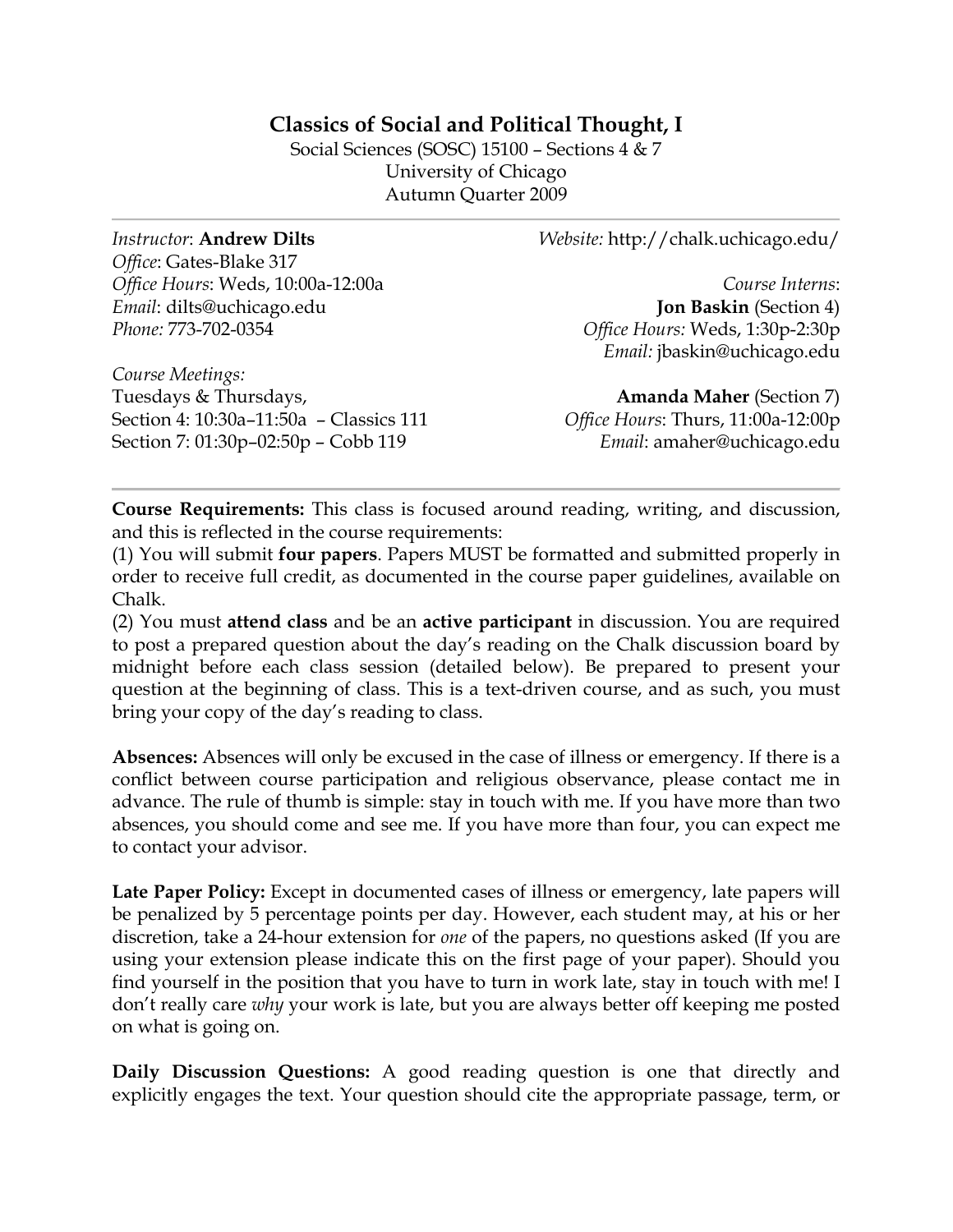# **Classics of Social and Political Thought, I**

Social Sciences (SOSC) 15100 – Sections 4 & 7 University of Chicago Autumn Quarter 2009

*Instructor*: **Andrew Dilts** *Office*: Gates-Blake 317 *Office Hours*: Weds, 10:00a-12:00a *Email*: dilts@uchicago.edu *Phone:* 773-702-0354

*Course Meetings:*  Tuesdays & Thursdays, Section 4: 10:30a–11:50a – Classics 111 Section 7: 01:30p–02:50p – Cobb 119

*Website:* http://chalk.uchicago.edu/

*Course Interns*: **Jon Baskin** (Section 4) *Office Hours:* Weds, 1:30p-2:30p *Email:* jbaskin@uchicago.edu

**Amanda Maher** (Section 7) *Office Hours*: Thurs, 11:00a-12:00p *Email*: amaher@uchicago.edu

**Course Requirements:** This class is focused around reading, writing, and discussion, and this is reflected in the course requirements:

(1) You will submit **four papers**. Papers MUST be formatted and submitted properly in order to receive full credit, as documented in the course paper guidelines, available on Chalk.

(2) You must **attend class** and be an **active participant** in discussion. You are required to post a prepared question about the day's reading on the Chalk discussion board by midnight before each class session (detailed below). Be prepared to present your question at the beginning of class. This is a text-driven course, and as such, you must bring your copy of the day's reading to class.

**Absences:** Absences will only be excused in the case of illness or emergency. If there is a conflict between course participation and religious observance, please contact me in advance. The rule of thumb is simple: stay in touch with me. If you have more than two absences, you should come and see me. If you have more than four, you can expect me to contact your advisor.

Late Paper Policy: Except in documented cases of illness or emergency, late papers will be penalized by 5 percentage points per day. However, each student may, at his or her discretion, take a 24-hour extension for *one* of the papers, no questions asked (If you are using your extension please indicate this on the first page of your paper). Should you find yourself in the position that you have to turn in work late, stay in touch with me! I don't really care *why* your work is late, but you are always better off keeping me posted on what is going on.

**Daily Discussion Questions:** A good reading question is one that directly and explicitly engages the text. Your question should cite the appropriate passage, term, or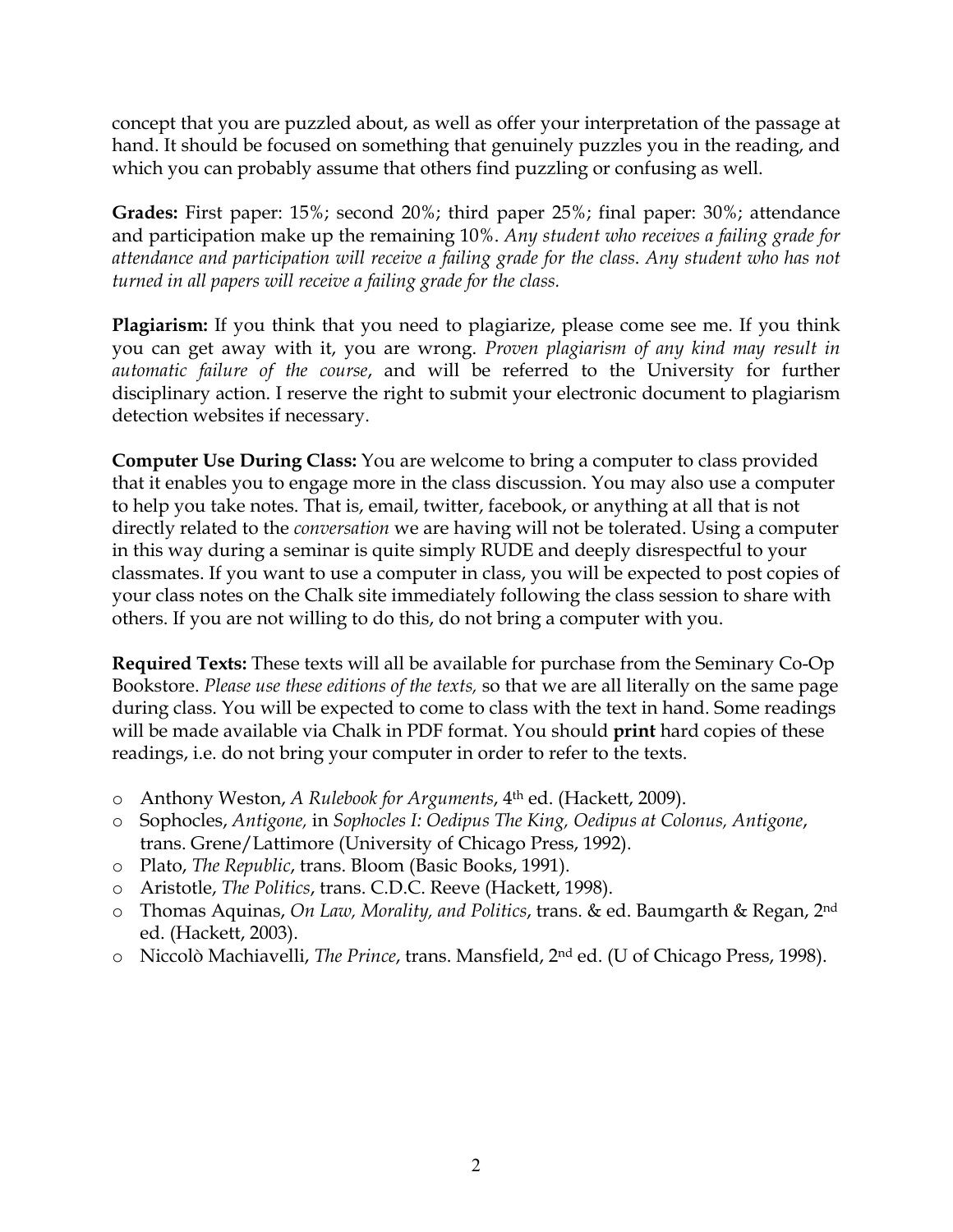concept that you are puzzled about, as well as offer your interpretation of the passage at hand. It should be focused on something that genuinely puzzles you in the reading, and which you can probably assume that others find puzzling or confusing as well.

**Grades:** First paper: 15%; second 20%; third paper 25%; final paper: 30%; attendance and participation make up the remaining 10%. *Any student who receives a failing grade for attendance and participation will receive a failing grade for the class*. *Any student who has not turned in all papers will receive a failing grade for the class.*

**Plagiarism:** If you think that you need to plagiarize, please come see me. If you think you can get away with it, you are wrong. *Proven plagiarism of any kind may result in automatic failure of the course*, and will be referred to the University for further disciplinary action. I reserve the right to submit your electronic document to plagiarism detection websites if necessary.

**Computer Use During Class:** You are welcome to bring a computer to class provided that it enables you to engage more in the class discussion. You may also use a computer to help you take notes. That is, email, twitter, facebook, or anything at all that is not directly related to the *conversation* we are having will not be tolerated. Using a computer in this way during a seminar is quite simply RUDE and deeply disrespectful to your classmates. If you want to use a computer in class, you will be expected to post copies of your class notes on the Chalk site immediately following the class session to share with others. If you are not willing to do this, do not bring a computer with you.

**Required Texts:** These texts will all be available for purchase from the Seminary Co-Op Bookstore. *Please use these editions of the texts,* so that we are all literally on the same page during class. You will be expected to come to class with the text in hand. Some readings will be made available via Chalk in PDF format. You should **print** hard copies of these readings, i.e. do not bring your computer in order to refer to the texts.

- o Anthony Weston, *A Rulebook for Arguments*, 4th ed. (Hackett, 2009).
- o Sophocles, *Antigone,* in *Sophocles I: Oedipus The King, Oedipus at Colonus, Antigone*, trans. Grene/Lattimore (University of Chicago Press, 1992).
- o Plato, *The Republic*, trans. Bloom (Basic Books, 1991).
- o Aristotle, *The Politics*, trans. C.D.C. Reeve (Hackett, 1998).
- o Thomas Aquinas, *On Law, Morality, and Politics*, trans. & ed. Baumgarth & Regan, 2nd ed. (Hackett, 2003).
- o Niccolò Machiavelli, *The Prince*, trans. Mansfield, 2nd ed. (U of Chicago Press, 1998).